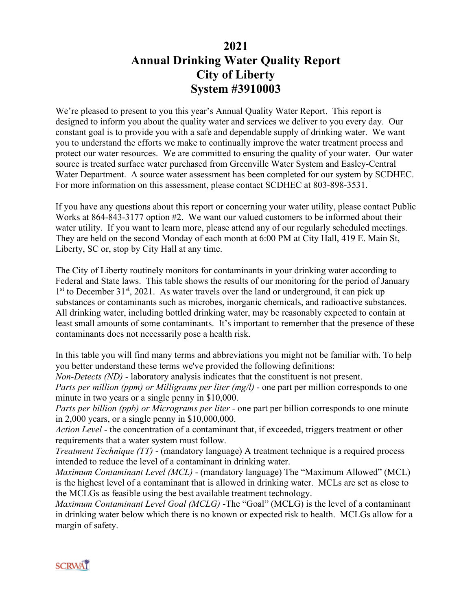## **2021 Annual Drinking Water Quality Report City of Liberty System #3910003**

We're pleased to present to you this year's Annual Quality Water Report. This report is designed to inform you about the quality water and services we deliver to you every day. Our constant goal is to provide you with a safe and dependable supply of drinking water. We want you to understand the efforts we make to continually improve the water treatment process and protect our water resources. We are committed to ensuring the quality of your water. Our water source is treated surface water purchased from Greenville Water System and Easley-Central Water Department. A source water assessment has been completed for our system by SCDHEC. For more information on this assessment, please contact SCDHEC at 803-898-3531.

If you have any questions about this report or concerning your water utility, please contact Public Works at 864-843-3177 option #2. We want our valued customers to be informed about their water utility. If you want to learn more, please attend any of our regularly scheduled meetings. They are held on the second Monday of each month at 6:00 PM at City Hall, 419 E. Main St, Liberty, SC or, stop by City Hall at any time.

The City of Liberty routinely monitors for contaminants in your drinking water according to Federal and State laws. This table shows the results of our monitoring for the period of January  $1<sup>st</sup>$  to December 31<sup>st</sup>, 2021. As water travels over the land or underground, it can pick up substances or contaminants such as microbes, inorganic chemicals, and radioactive substances. All drinking water, including bottled drinking water, may be reasonably expected to contain at least small amounts of some contaminants. It's important to remember that the presence of these contaminants does not necessarily pose a health risk.

In this table you will find many terms and abbreviations you might not be familiar with. To help you better understand these terms we've provided the following definitions:

*Non-Detects (ND)* - laboratory analysis indicates that the constituent is not present.

*Parts per million (ppm) or Milligrams per liter (mg/l)* - one part per million corresponds to one minute in two years or a single penny in \$10,000.

*Parts per billion (ppb) or Micrograms per liter* - one part per billion corresponds to one minute in 2,000 years, or a single penny in \$10,000,000.

*Action Level* - the concentration of a contaminant that, if exceeded, triggers treatment or other requirements that a water system must follow.

*Treatment Technique (TT)* - (mandatory language) A treatment technique is a required process intended to reduce the level of a contaminant in drinking water.

*Maximum Contaminant Level (MCL)* - (mandatory language) The "Maximum Allowed" (MCL) is the highest level of a contaminant that is allowed in drinking water. MCLs are set as close to the MCLGs as feasible using the best available treatment technology.

*Maximum Contaminant Level Goal (MCLG)* -The "Goal" (MCLG) is the level of a contaminant in drinking water below which there is no known or expected risk to health. MCLGs allow for a margin of safety.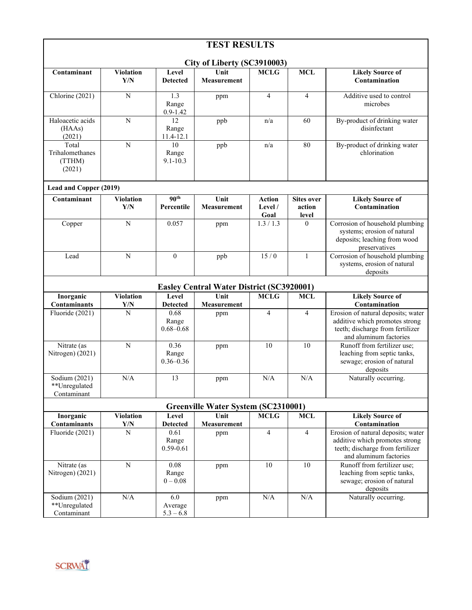| <b>TEST RESULTS</b>                              |                         |                                       |                            |                                    |                                      |                                                                                                                                    |
|--------------------------------------------------|-------------------------|---------------------------------------|----------------------------|------------------------------------|--------------------------------------|------------------------------------------------------------------------------------------------------------------------------------|
| City of Liberty (SC3910003)                      |                         |                                       |                            |                                    |                                      |                                                                                                                                    |
| Contaminant                                      | <b>Violation</b><br>Y/N | Level<br><b>Detected</b>              | Unit<br>Measurement        | <b>MCLG</b>                        | <b>MCL</b>                           | <b>Likely Source of</b><br>Contamination                                                                                           |
| Chlorine $(2021)$                                | $\mathbf N$             | 1.3<br>Range<br>$0.9 - 1.42$          | ppm                        | 4                                  | $\overline{4}$                       | Additive used to control<br>microbes                                                                                               |
| Haloacetic acids<br>(HAAs)<br>(2021)             | $\overline{N}$          | $\overline{12}$<br>Range<br>11.4-12.1 | ppb                        | n/a                                | 60                                   | By-product of drinking water<br>disinfectant                                                                                       |
| Total<br>Trihalomethanes<br>(TTHM)<br>(2021)     | $\mathbf N$             | 10<br>Range<br>$9.1 - 10.3$           | ppb                        | n/a                                | 80                                   | By-product of drinking water<br>chlorination                                                                                       |
| Lead and Copper (2019)                           |                         |                                       |                            |                                    |                                      |                                                                                                                                    |
| Contaminant                                      | <b>Violation</b><br>Y/N | 90 <sup>th</sup><br>Percentile        | Unit<br><b>Measurement</b> | <b>Action</b><br>Level $/$<br>Goal | <b>Sites over</b><br>action<br>level | <b>Likely Source of</b><br>Contamination                                                                                           |
| Copper                                           | $\overline{N}$          | 0.057                                 | ppm                        | 1.3 / 1.3                          | $\theta$                             | Corrosion of household plumbing<br>systems; erosion of natural<br>deposits; leaching from wood<br>preservatives                    |
| Lead                                             | $\mathbf N$             | $\mathbf{0}$                          | ppb                        | 15/0                               | 1                                    | Corrosion of household plumbing<br>systems, erosion of natural<br>deposits                                                         |
| <b>Easley Central Water District (SC3920001)</b> |                         |                                       |                            |                                    |                                      |                                                                                                                                    |
| Inorganic<br><b>Contaminants</b>                 | <b>Violation</b><br>Y/N | Level<br><b>Detected</b>              | Unit<br><b>Measurement</b> | <b>MCLG</b>                        | <b>MCL</b>                           | <b>Likely Source of</b><br>Contamination                                                                                           |
| Fluoride (2021)                                  | N                       | 0.68<br>Range<br>$0.68 - 0.68$        | ppm                        | 4                                  | $\overline{4}$                       | Erosion of natural deposits; water<br>additive which promotes strong<br>teeth; discharge from fertilizer<br>and aluminum factories |
| Nitrate (as<br>Nitrogen) (2021)                  | $\mathbf N$             | 0.36<br>Range<br>$0.36 - 0.36$        | ppm                        | 10                                 | 10                                   | Runoff from fertilizer use;<br>leaching from septic tanks,<br>sewage; erosion of natural<br>deposits                               |
| Sodium (2021)<br>**Unregulated<br>Contaminant    | N/A                     | 13                                    | ppm                        | N/A                                | N/A                                  | Naturally occurring.                                                                                                               |
| <b>Greenville Water System (SC2310001)</b>       |                         |                                       |                            |                                    |                                      |                                                                                                                                    |
| Inorganic                                        | <b>Violation</b>        | Level                                 | Unit                       | <b>MCLG</b>                        | <b>MCL</b>                           | <b>Likely Source of</b>                                                                                                            |
| Contaminants                                     | Y/N<br>$\overline{N}$   | <b>Detected</b>                       | Measurement                |                                    |                                      | Contamination                                                                                                                      |
| Fluoride (2021)                                  |                         | 0.61<br>Range<br>$0.59 - 0.61$        | ppm                        | 4                                  | $\overline{4}$                       | Erosion of natural deposits; water<br>additive which promotes strong<br>teeth; discharge from fertilizer<br>and aluminum factories |
| Nitrate (as<br>Nitrogen) (2021)                  | $\mathbf N$             | 0.08<br>Range<br>$0 - 0.08$           | ppm                        | 10                                 | 10                                   | Runoff from fertilizer use;<br>leaching from septic tanks,<br>sewage; erosion of natural<br>deposits                               |
| Sodium (2021)<br>**Unregulated<br>Contaminant    | N/A                     | 6.0<br>Average<br>$5.3 - 6.8$         | ppm                        | N/A                                | N/A                                  | Naturally occurring.                                                                                                               |

## SCRWÄT